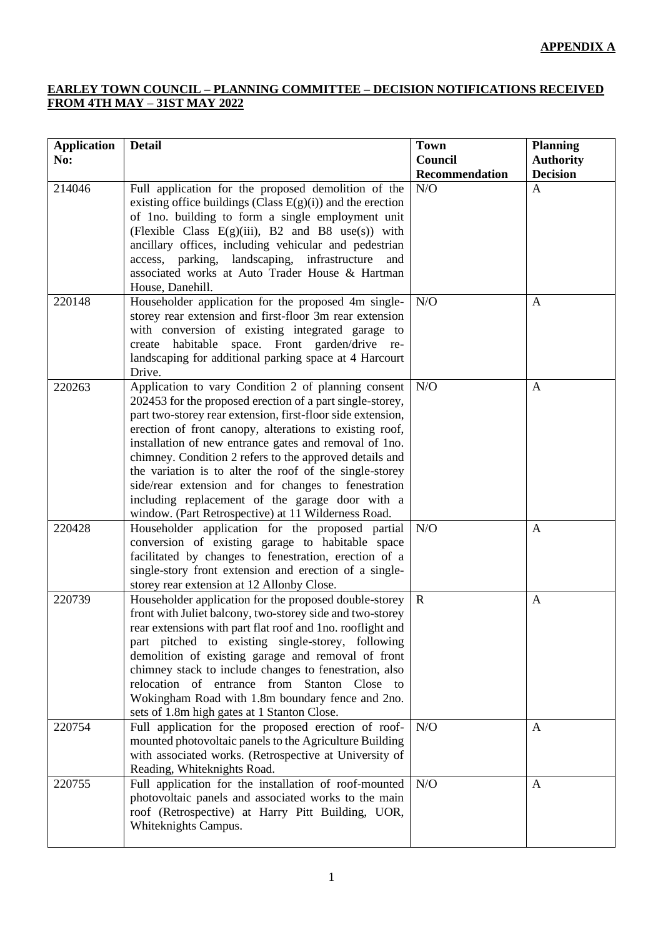## **APPENDIX A**

## **EARLEY TOWN COUNCIL – PLANNING COMMITTEE – DECISION NOTIFICATIONS RECEIVED FROM 4TH MAY – 31ST MAY 2022**

| <b>Application</b><br>No: | <b>Detail</b>                                                                                                                                                                                                                                                                                                                                                                                                                                                                                                                                                                               | <b>Town</b><br>Council | <b>Planning</b><br><b>Authority</b> |
|---------------------------|---------------------------------------------------------------------------------------------------------------------------------------------------------------------------------------------------------------------------------------------------------------------------------------------------------------------------------------------------------------------------------------------------------------------------------------------------------------------------------------------------------------------------------------------------------------------------------------------|------------------------|-------------------------------------|
|                           |                                                                                                                                                                                                                                                                                                                                                                                                                                                                                                                                                                                             | Recommendation         | <b>Decision</b>                     |
| 214046                    | Full application for the proposed demolition of the<br>existing office buildings (Class $E(g)(i)$ ) and the erection<br>of 1no. building to form a single employment unit<br>(Flexible Class $E(g)(iii)$ , B2 and B8 use(s)) with<br>ancillary offices, including vehicular and pedestrian<br>access, parking, landscaping, infrastructure<br>and<br>associated works at Auto Trader House & Hartman<br>House, Danehill.                                                                                                                                                                    | N/O                    | A                                   |
| 220148                    | Householder application for the proposed 4m single-<br>storey rear extension and first-floor 3m rear extension<br>with conversion of existing integrated garage to<br>create habitable space. Front garden/drive re-<br>landscaping for additional parking space at 4 Harcourt<br>Drive.                                                                                                                                                                                                                                                                                                    | N/O                    | A                                   |
| 220263                    | Application to vary Condition 2 of planning consent<br>202453 for the proposed erection of a part single-storey,<br>part two-storey rear extension, first-floor side extension,<br>erection of front canopy, alterations to existing roof,<br>installation of new entrance gates and removal of 1no.<br>chimney. Condition 2 refers to the approved details and<br>the variation is to alter the roof of the single-storey<br>side/rear extension and for changes to fenestration<br>including replacement of the garage door with a<br>window. (Part Retrospective) at 11 Wilderness Road. | N/O                    | A                                   |
| 220428                    | Householder application for the proposed partial<br>conversion of existing garage to habitable space<br>facilitated by changes to fenestration, erection of a<br>single-story front extension and erection of a single-<br>storey rear extension at 12 Allonby Close.                                                                                                                                                                                                                                                                                                                       | N/O                    | $\mathbf{A}$                        |
| 220739                    | Householder application for the proposed double-storey<br>front with Juliet balcony, two-storey side and two-storey<br>rear extensions with part flat roof and 1no. rooflight and<br>part pitched to existing single-storey, following<br>demolition of existing garage and removal of front<br>chimney stack to include changes to fenestration, also<br>relocation of entrance from Stanton Close to<br>Wokingham Road with 1.8m boundary fence and 2no.<br>sets of 1.8m high gates at 1 Stanton Close.                                                                                   | $\mathbf R$            | $\mathbf{A}$                        |
| 220754                    | Full application for the proposed erection of roof-<br>mounted photovoltaic panels to the Agriculture Building<br>with associated works. (Retrospective at University of<br>Reading, Whiteknights Road.                                                                                                                                                                                                                                                                                                                                                                                     | N/O                    | A                                   |
| 220755                    | Full application for the installation of roof-mounted<br>photovoltaic panels and associated works to the main<br>roof (Retrospective) at Harry Pitt Building, UOR,<br>Whiteknights Campus.                                                                                                                                                                                                                                                                                                                                                                                                  | N/O                    | $\mathbf{A}$                        |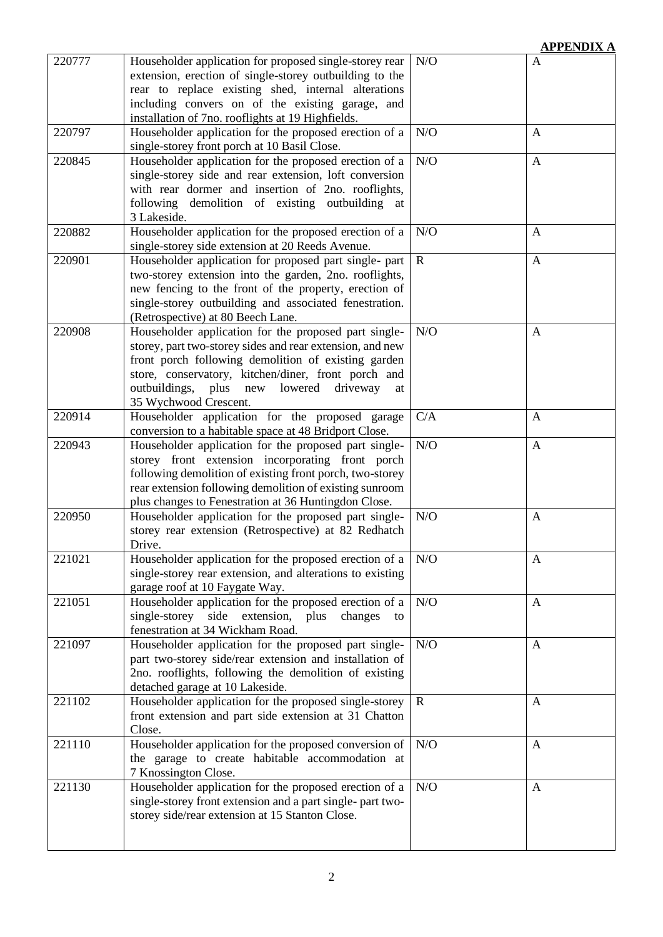|        |                                                                                                                                                                                                                                                                                                                     |             | <b>IMALIA</b> |
|--------|---------------------------------------------------------------------------------------------------------------------------------------------------------------------------------------------------------------------------------------------------------------------------------------------------------------------|-------------|---------------|
| 220777 | Householder application for proposed single-storey rear<br>extension, erection of single-storey outbuilding to the<br>rear to replace existing shed, internal alterations<br>including convers on of the existing garage, and<br>installation of 7no. rooflights at 19 Highfields.                                  | N/O         | A             |
| 220797 | Householder application for the proposed erection of a<br>single-storey front porch at 10 Basil Close.                                                                                                                                                                                                              | N/O         | A             |
| 220845 | Householder application for the proposed erection of a<br>single-storey side and rear extension, loft conversion<br>with rear dormer and insertion of 2no. rooflights,<br>following demolition of existing outbuilding<br>at<br>3 Lakeside.                                                                         | N/O         | $\mathbf{A}$  |
| 220882 | Householder application for the proposed erection of a<br>single-storey side extension at 20 Reeds Avenue.                                                                                                                                                                                                          | N/O         | $\mathbf{A}$  |
| 220901 | Householder application for proposed part single- part<br>two-storey extension into the garden, 2no. rooflights,<br>new fencing to the front of the property, erection of<br>single-storey outbuilding and associated fenestration.<br>(Retrospective) at 80 Beech Lane.                                            | $\mathbf R$ | $\mathbf{A}$  |
| 220908 | Householder application for the proposed part single-<br>storey, part two-storey sides and rear extension, and new<br>front porch following demolition of existing garden<br>store, conservatory, kitchen/diner, front porch and<br>outbuildings, plus<br>lowered<br>driveway<br>new<br>at<br>35 Wychwood Crescent. | N/O         | A             |
| 220914 | Householder application for the proposed garage<br>conversion to a habitable space at 48 Bridport Close.                                                                                                                                                                                                            | C/A         | A             |
| 220943 | Householder application for the proposed part single-<br>storey front extension incorporating front porch<br>following demolition of existing front porch, two-storey<br>rear extension following demolition of existing sunroom<br>plus changes to Fenestration at 36 Huntingdon Close.                            | N/O         | $\mathbf{A}$  |
| 220950 | Householder application for the proposed part single-<br>storey rear extension (Retrospective) at 82 Redhatch<br>Drive.                                                                                                                                                                                             | N/O         | $\mathbf{A}$  |
| 221021 | Householder application for the proposed erection of a<br>single-storey rear extension, and alterations to existing<br>garage roof at 10 Faygate Way.                                                                                                                                                               | N/O         | A             |
| 221051 | Householder application for the proposed erection of a<br>single-storey side extension, plus<br>changes<br>to<br>fenestration at 34 Wickham Road.                                                                                                                                                                   | N/O         | A             |
| 221097 | Householder application for the proposed part single-<br>part two-storey side/rear extension and installation of<br>2no. rooflights, following the demolition of existing<br>detached garage at 10 Lakeside.                                                                                                        | N/O         | $\mathbf{A}$  |
| 221102 | Householder application for the proposed single-storey<br>front extension and part side extension at 31 Chatton<br>Close.                                                                                                                                                                                           | $\mathbf R$ | A             |
| 221110 | Householder application for the proposed conversion of<br>the garage to create habitable accommodation at<br>7 Knossington Close.                                                                                                                                                                                   | N/O         | $\mathbf{A}$  |
| 221130 | Householder application for the proposed erection of a<br>single-storey front extension and a part single- part two-<br>storey side/rear extension at 15 Stanton Close.                                                                                                                                             | N/O         | A             |